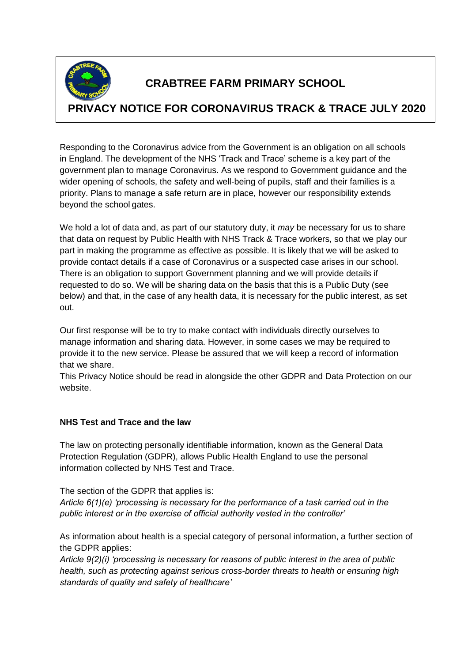

# **CRABTREE FARM PRIMARY SCHOOL**

# **PRIVACY NOTICE FOR CORONAVIRUS TRACK & TRACE JULY 2020**

Responding to the Coronavirus advice from the Government is an obligation on all schools in England. The development of the NHS 'Track and Trace' scheme is a key part of the government plan to manage Coronavirus. As we respond to Government guidance and the wider opening of schools, the safety and well-being of pupils, staff and their families is a priority. Plans to manage a safe return are in place, however our responsibility extends beyond the school gates.

We hold a lot of data and, as part of our statutory duty, it *may* be necessary for us to share that data on request by Public Health with NHS Track & Trace workers, so that we play our part in making the programme as effective as possible. It is likely that we will be asked to provide contact details if a case of Coronavirus or a suspected case arises in our school. There is an obligation to support Government planning and we will provide details if requested to do so. We will be sharing data on the basis that this is a Public Duty (see below) and that, in the case of any health data, it is necessary for the public interest, as set out.

Our first response will be to try to make contact with individuals directly ourselves to manage information and sharing data. However, in some cases we may be required to provide it to the new service. Please be assured that we will keep a record of information that we share.

This Privacy Notice should be read in alongside the other GDPR and Data Protection on our website.

## **NHS Test and Trace and the law**

The law on protecting personally identifiable information, known as the General Data Protection Regulation (GDPR), allows Public Health England to use the personal information collected by NHS Test and Trace.

The section of the GDPR that applies is:

*Article 6(1)(e) 'processing is necessary for the performance of a task carried out in the public interest or in the exercise of official authority vested in the controller'*

As information about health is a special category of personal information, a further section of the GDPR applies:

*Article 9(2)(i) 'processing is necessary for reasons of public interest in the area of public health, such as protecting against serious cross-border threats to health or ensuring high standards of quality and safety of healthcare'*